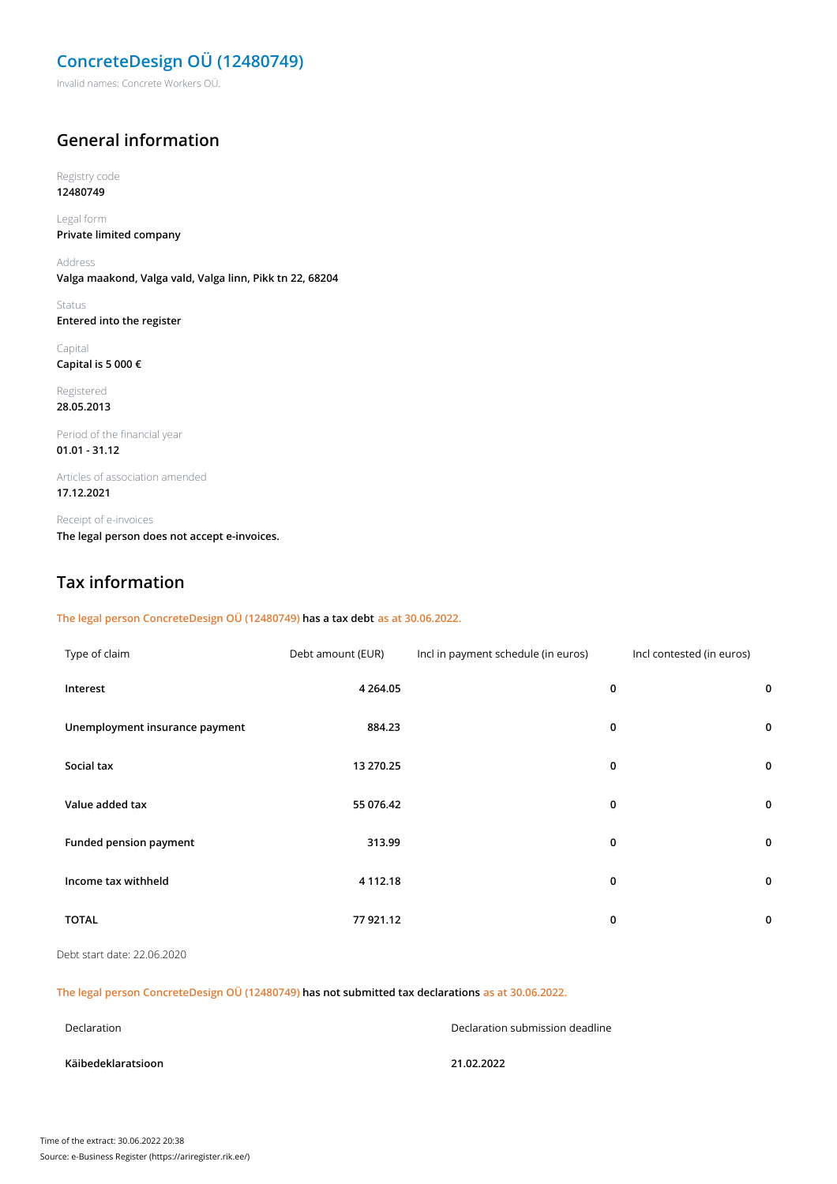# **ConcreteDesign OÜ (12480749)**

Invalid names: Concrete Workers OÜ.

### **General information**

#### Registry code **12480749**

Legal form

**Private limited company**

Address **Valga maakond, Valga vald, Valga linn, Pikk tn 22, 68204**

Status **Entered into the register**

Capital **Capital is 5 000 €**

Registered **28.05.2013**

Period of the financial year **01.01 - 31.12**

Articles of association amended **17.12.2021**

Receipt of e-invoices **The legal person does not accept e-invoices.**

## **Tax information**

### **The legal person ConcreteDesign OÜ (12480749) has a tax debt as at 30.06.2022.**

| Type of claim                  | Debt amount (EUR) | Incl in payment schedule (in euros) | Incl contested (in euros) |             |
|--------------------------------|-------------------|-------------------------------------|---------------------------|-------------|
| Interest                       | 4 2 6 4 .05       |                                     | 0                         | $\mathbf 0$ |
| Unemployment insurance payment | 884.23            |                                     | 0                         | $\mathbf 0$ |
| Social tax                     | 13 270.25         |                                     | 0                         | $\mathbf 0$ |
| Value added tax                | 55 076.42         |                                     | 0                         | $\mathbf 0$ |
| Funded pension payment         | 313.99            |                                     | 0                         | 0           |
| Income tax withheld            | 4 112.18          |                                     | 0                         | $\mathbf 0$ |
| <b>TOTAL</b>                   | 77 921.12         |                                     | 0                         | 0           |

Debt start date: 22.06.2020

### **The legal person ConcreteDesign OÜ (12480749) has not submitted tax declarations as at 30.06.2022.**

| Declaration        | Declaration submission deadline |  |
|--------------------|---------------------------------|--|
| Käibedeklaratsioon | 21.02.2022                      |  |